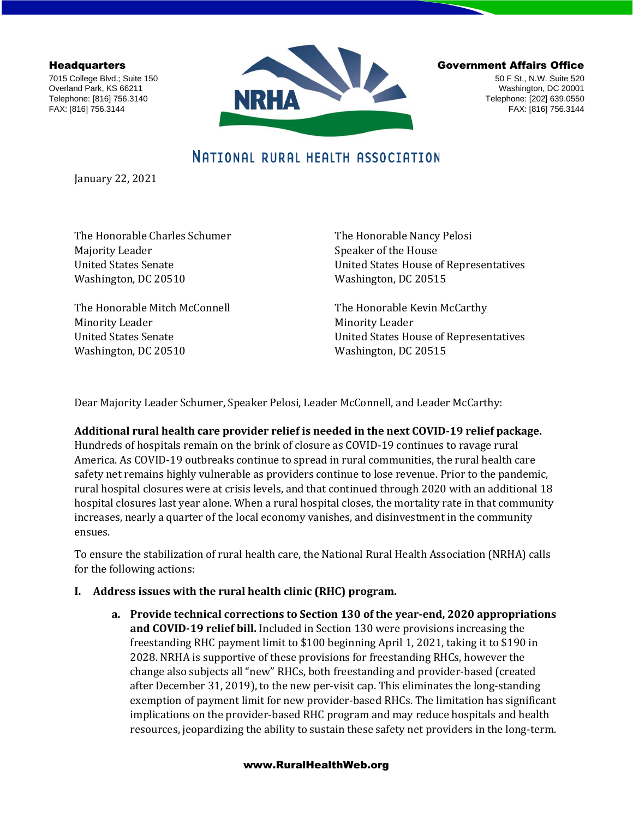**Headquarters** 

7015 College Blvd.; Suite 150 Overland Park, KS 66211 Telephone: [816] 756.3140 FAX: [816] 756.3144



#### Government Affairs Office

50 F St., N.W. Suite 520 Washington, DC 20001 Telephone: [202] 639.0550 FAX: [816] 756.3144

# NATIONAL RURAL HEALTH ASSOCIATION

January 22, 2021

The Honorable Charles Schumer Majority Leader United States Senate Washington, DC 20510

The Honorable Mitch McConnell Minority Leader United States Senate Washington, DC 20510

The Honorable Nancy Pelosi Speaker of the House United States House of Representatives Washington, DC 20515

The Honorable Kevin McCarthy Minority Leader United States House of Representatives Washington, DC 20515

Dear Majority Leader Schumer, Speaker Pelosi, Leader McConnell, and Leader McCarthy:

# **Additional rural health care provider relief is needed in the next COVID-19 relief package.**

Hundreds of hospitals remain on the brink of closure as COVID-19 continues to ravage rural America. As COVID-19 outbreaks continue to spread in rural communities, the rural health care safety net remains highly vulnerable as providers continue to lose revenue. Prior to the pandemic, rural hospital closures were at crisis levels, and that continued through 2020 with an additional 18 hospital closures last year alone. When a rural hospital closes, the mortality rate in that community increases, nearly a quarter of the local economy vanishes, and disinvestment in the community ensues.

To ensure the stabilization of rural health care, the National Rural Health Association (NRHA) calls for the following actions:

# **I. Address issues with the rural health clinic (RHC) program.**

**a. Provide technical corrections to Section 130 of the year-end, 2020 appropriations and COVID-19 relief bill.** Included in Section 130 were provisions increasing the freestanding RHC payment limit to \$100 beginning April 1, 2021, taking it to \$190 in 2028. NRHA is supportive of these provisions for freestanding RHCs, however the change also subjects all "new" RHCs, both freestanding and provider-based (created after December 31, 2019), to the new per-visit cap. This eliminates the long-standing exemption of payment limit for new provider-based RHCs. The limitation has significant implications on the provider-based RHC program and may reduce hospitals and health resources, jeopardizing the ability to sustain these safety net providers in the long-term.

## www.RuralHealthWeb.org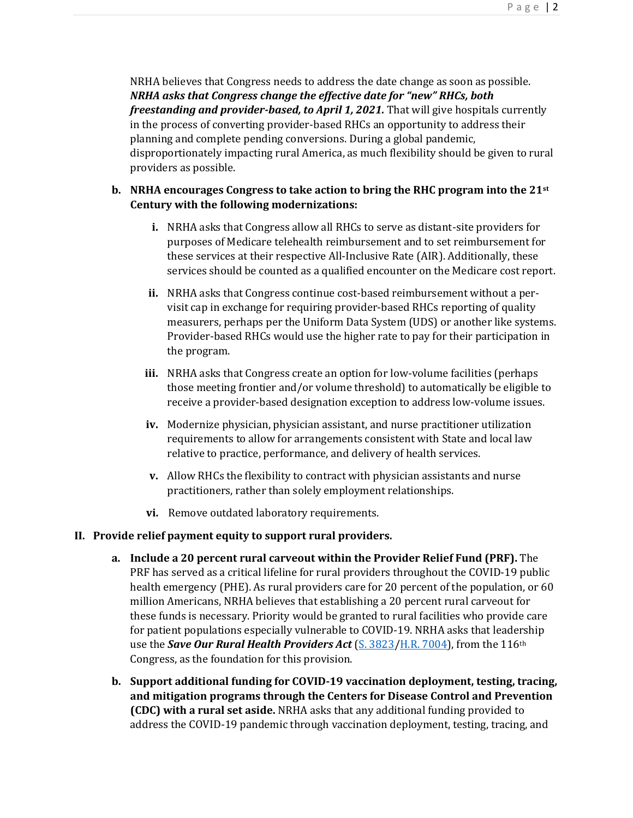NRHA believes that Congress needs to address the date change as soon as possible. *NRHA asks that Congress change the effective date for "new" RHCs, both freestanding and provider-based, to April 1, 2021.* That will give hospitals currently in the process of converting provider-based RHCs an opportunity to address their planning and complete pending conversions. During a global pandemic, disproportionately impacting rural America, as much flexibility should be given to rural providers as possible.

## **b. NRHA encourages Congress to take action to bring the RHC program into the 21st Century with the following modernizations:**

- **i.** NRHA asks that Congress allow all RHCs to serve as distant-site providers for purposes of Medicare telehealth reimbursement and to set reimbursement for these services at their respective All-Inclusive Rate (AIR). Additionally, these services should be counted as a qualified encounter on the Medicare cost report.
- **ii.** NRHA asks that Congress continue cost-based reimbursement without a pervisit cap in exchange for requiring provider-based RHCs reporting of quality measurers, perhaps per the Uniform Data System (UDS) or another like systems. Provider-based RHCs would use the higher rate to pay for their participation in the program.
- **iii.** NRHA asks that Congress create an option for low-volume facilities (perhaps those meeting frontier and/or volume threshold) to automatically be eligible to receive a provider-based designation exception to address low-volume issues.
- **iv.** Modernize physician, physician assistant, and nurse practitioner utilization requirements to allow for arrangements consistent with State and local law relative to practice, performance, and delivery of health services.
- **v.** Allow RHCs the flexibility to contract with physician assistants and nurse practitioners, rather than solely employment relationships.
- **vi.** Remove outdated laboratory requirements.

## **II. Provide relief payment equity to support rural providers.**

- **a. Include a 20 percent rural carveout within the Provider Relief Fund (PRF).** The PRF has served as a critical lifeline for rural providers throughout the COVID-19 public health emergency (PHE). As rural providers care for 20 percent of the population, or 60 million Americans, NRHA believes that establishing a 20 percent rural carveout for these funds is necessary. Priority would be granted to rural facilities who provide care for patient populations especially vulnerable to COVID-19. NRHA asks that leadership use the *Save Our Rural Health Providers Act* [\(S. 3823/](https://www.congress.gov/bill/116th-congress/senate-bill/3823?q=%7B%22search%22%3A%5B%223823%22%5D%7D&s=2&r=2)[H.R. 7004\)](https://www.congress.gov/bill/116th-congress/house-bill/7004), from the 116th Congress, as the foundation for this provision.
- **b. Support additional funding for COVID-19 vaccination deployment, testing, tracing, and mitigation programs through the Centers for Disease Control and Prevention (CDC) with a rural set aside.** NRHA asks that any additional funding provided to address the COVID-19 pandemic through vaccination deployment, testing, tracing, and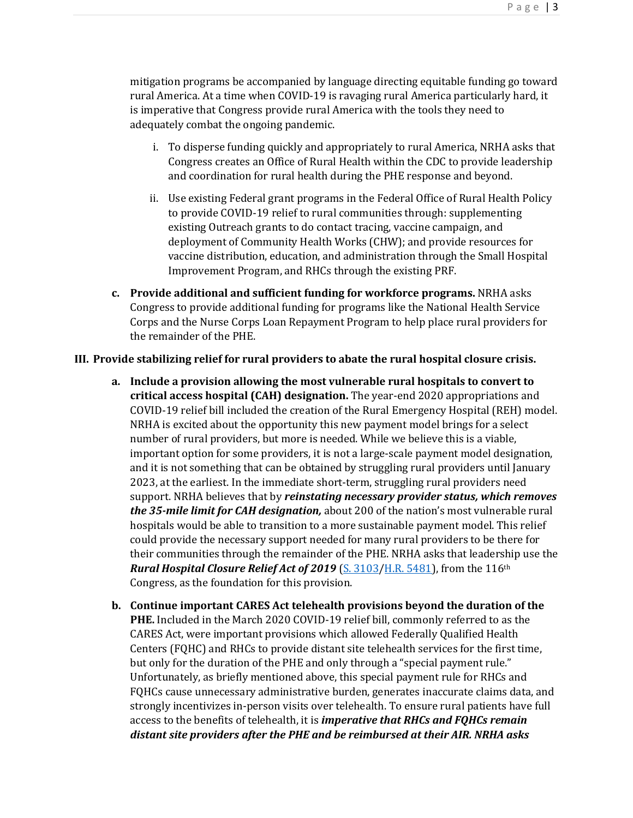mitigation programs be accompanied by language directing equitable funding go toward rural America. At a time when COVID-19 is ravaging rural America particularly hard, it is imperative that Congress provide rural America with the tools they need to adequately combat the ongoing pandemic.

- i. To disperse funding quickly and appropriately to rural America, NRHA asks that Congress creates an Office of Rural Health within the CDC to provide leadership and coordination for rural health during the PHE response and beyond.
- ii. Use existing Federal grant programs in the Federal Office of Rural Health Policy to provide COVID-19 relief to rural communities through: supplementing existing Outreach grants to do contact tracing, vaccine campaign, and deployment of Community Health Works (CHW); and provide resources for vaccine distribution, education, and administration through the Small Hospital Improvement Program, and RHCs through the existing PRF.
- **c. Provide additional and sufficient funding for workforce programs.** NRHA asks Congress to provide additional funding for programs like the National Health Service Corps and the Nurse Corps Loan Repayment Program to help place rural providers for the remainder of the PHE.

#### **III. Provide stabilizing relief for rural providers to abate the rural hospital closure crisis.**

- **a. Include a provision allowing the most vulnerable rural hospitals to convert to critical access hospital (CAH) designation.** The year-end 2020 appropriations and COVID-19 relief bill included the creation of the Rural Emergency Hospital (REH) model. NRHA is excited about the opportunity this new payment model brings for a select number of rural providers, but more is needed. While we believe this is a viable, important option for some providers, it is not a large-scale payment model designation, and it is not something that can be obtained by struggling rural providers until January 2023, at the earliest. In the immediate short-term, struggling rural providers need support. NRHA believes that by *reinstating necessary provider status, which removes the 35-mile limit for CAH designation,* about 200 of the nation's most vulnerable rural hospitals would be able to transition to a more sustainable payment model. This relief could provide the necessary support needed for many rural providers to be there for their communities through the remainder of the PHE. NRHA asks that leadership use the *Rural Hospital Closure Relief Act of 2019* [\(S. 3103/](https://www.congress.gov/bill/116th-congress/senate-bill/3103?q=%7B%22search%22%3A%223103%22%7D&r=1&s=1)[H.R. 5481\)](https://www.congress.gov/bill/116th-congress/house-bill/5481?q=%7B%22search%22%3A%5B%22rural+hospital+closure+relief+act%22%5D%7D&s=1&r=2), from the 116th Congress, as the foundation for this provision.
- **b. Continue important CARES Act telehealth provisions beyond the duration of the PHE.** Included in the March 2020 COVID-19 relief bill, commonly referred to as the CARES Act, were important provisions which allowed Federally Qualified Health Centers (FQHC) and RHCs to provide distant site telehealth services for the first time, but only for the duration of the PHE and only through a "special payment rule." Unfortunately, as briefly mentioned above, this special payment rule for RHCs and FQHCs cause unnecessary administrative burden, generates inaccurate claims data, and strongly incentivizes in-person visits over telehealth. To ensure rural patients have full access to the benefits of telehealth, it is *imperative that RHCs and FQHCs remain distant site providers after the PHE and be reimbursed at their AIR. NRHA asks*